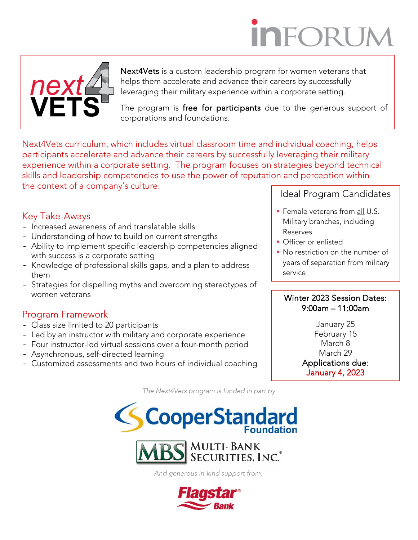# **INFORUI**



Next4Vets is a custom leadership program for women veterans that helps them accelerate and advance their careers by successfully leveraging their military experience within a corporate setting.

The program is free for participants due to the generous support of corporations and foundations.

Next4Vets curriculum, which includes virtual classroom time and individual coaching, helps participants accelerate and advance their careers by successfully leveraging their military experience within a corporate setting. The program focuses on strategies beyond technical skills and leadership competencies to use the power of reputation and perception within the context of a company's culture.

# Key Take-Aways

- Increased awareness of and translatable skills
- Understanding of how to build on current strengths
- Ability to implement specific leadership competencies aligned with success is a corporate setting
- Knowledge of professional skills gaps, and a plan to address them
- Strategies for dispelling myths and overcoming stereotypes of women veterans

# Program Framework

- Class size limited to 20 participants
- Led by an instructor with military and corporate experience
- Four instructor-led virtual sessions over a four-month period
- Asynchronous, self-directed learning
- Customized assessments and two hours of individual coaching

*The Next4Vets program is funded in part by*





*And generous in-kind support from:*



### Ideal Program Candidates

- Female veterans from all U.S. Military branches, including Reserves
- **Officer or enlisted**
- **No restriction on the number of** years of separation from military service

#### Winter 2023 Session Dates: 9:00am – 11:00am

January 25 February 15 March 8 March 29 Applications due: January 4, 2023

j